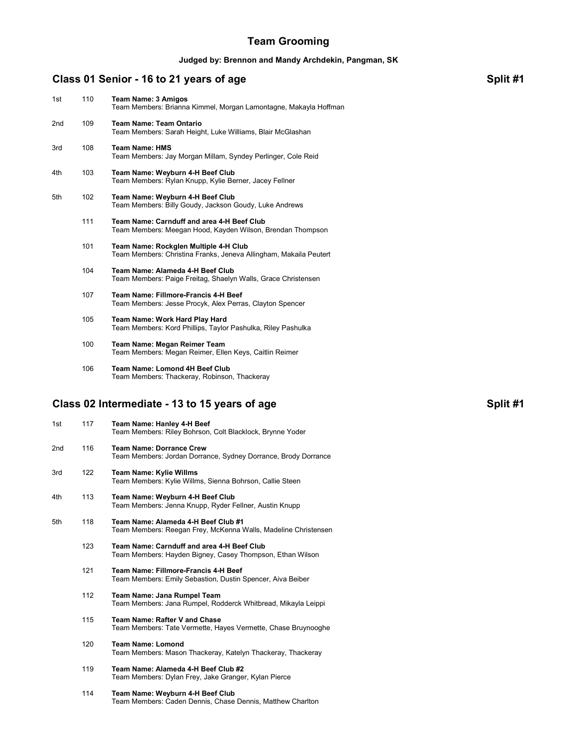# **Team Grooming**

#### **Judged by: Brennon and Mandy Archdekin, Pangman, SK**

# **Class 01 Senior - 16 to 21 years of age <b>Split #1** Split #1

| 1st                                                       | 110 | <b>Team Name: 3 Amigos</b><br>Team Members: Brianna Kimmel, Morgan Lamontagne, Makayla Hoffman             |  |  |
|-----------------------------------------------------------|-----|------------------------------------------------------------------------------------------------------------|--|--|
| 2nd                                                       | 109 | <b>Team Name: Team Ontario</b><br>Team Members: Sarah Height, Luke Williams, Blair McGlashan               |  |  |
| 3rd                                                       | 108 | <b>Team Name: HMS</b><br>Team Members: Jay Morgan Millam, Syndey Perlinger, Cole Reid                      |  |  |
| 4th                                                       | 103 | Team Name: Weyburn 4-H Beef Club<br>Team Members: Rylan Knupp, Kylie Berner, Jacey Fellner                 |  |  |
| 5th                                                       | 102 | Team Name: Weyburn 4-H Beef Club<br>Team Members: Billy Goudy, Jackson Goudy, Luke Andrews                 |  |  |
|                                                           | 111 | Team Name: Carnduff and area 4-H Beef Club<br>Team Members: Meegan Hood, Kayden Wilson, Brendan Thompson   |  |  |
|                                                           | 101 | Team Name: Rockglen Multiple 4-H Club<br>Team Members: Christina Franks, Jeneva Allingham, Makaila Peutert |  |  |
|                                                           | 104 | Team Name: Alameda 4-H Beef Club<br>Team Members: Paige Freitag, Shaelyn Walls, Grace Christensen          |  |  |
|                                                           | 107 | Team Name: Fillmore-Francis 4-H Beef<br>Team Members: Jesse Procyk, Alex Perras, Clayton Spencer           |  |  |
|                                                           | 105 | Team Name: Work Hard Play Hard<br>Team Members: Kord Phillips, Taylor Pashulka, Riley Pashulka             |  |  |
|                                                           | 100 | Team Name: Megan Reimer Team<br>Team Members: Megan Reimer, Ellen Keys, Caitlin Reimer                     |  |  |
|                                                           | 106 | Team Name: Lomond 4H Beef Club<br>Team Members: Thackeray, Robinson, Thackeray                             |  |  |
| Class 02 Intermediate - 13 to 15 years of age<br>Split #1 |     |                                                                                                            |  |  |
| 1st                                                       | 117 | Team Name: Hanley 4-H Beef<br>Team Members: Riley Bohrson, Colt Blacklock, Brynne Yoder                    |  |  |
| 2nd                                                       | 116 | <b>Team Name: Dorrance Crew</b><br>Team Members: Jordan Dorrance, Sydney Dorrance, Brody Dorrance          |  |  |
| 3rd                                                       | 122 | <b>Team Name: Kylie Willms</b><br>Team Members: Kylie Willms, Sienna Bohrson, Callie Steen                 |  |  |

- 4th 113 **Team Name: Weyburn 4-H Beef Club** Team Members: Jenna Knupp, Ryder Fellner, Austin Knupp
- 5th 118 **Team Name: Alameda 4-H Beef Club #1** Team Members: Reegan Frey, McKenna Walls, Madeline Christensen
	- 123 **Team Name: Carnduff and area 4-H Beef Club** Team Members: Hayden Bigney, Casey Thompson, Ethan Wilson
	- 121 **Team Name: Fillmore-Francis 4-H Beef** Team Members: Emily Sebastion, Dustin Spencer, Aiva Beiber
	- 112 **Team Name: Jana Rumpel Team** Team Members: Jana Rumpel, Rodderck Whitbread, Mikayla Leippi
	- 115 **Team Name: Rafter V and Chase** Team Members: Tate Vermette, Hayes Vermette, Chase Bruynooghe
	- 120 **Team Name: Lomond** Team Members: Mason Thackeray, Katelyn Thackeray, Thackeray
	- 119 **Team Name: Alameda 4-H Beef Club #2** Team Members: Dylan Frey, Jake Granger, Kylan Pierce
	- 114 **Team Name: Weyburn 4-H Beef Club** Team Members: Caden Dennis, Chase Dennis, Matthew Charlton